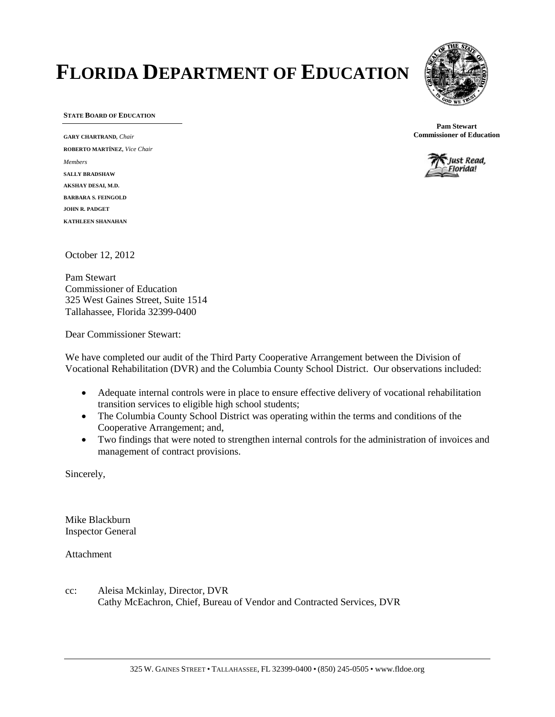# **FLORIDA DEPARTMENT OF EDUCATION**



**STATE BOARD OF EDUCATION**

**GARY CHARTRAND,** *Chair* **ROBERTO MARTÍNEZ,** *Vice Chair Members* **SALLY BRADSHAW AKSHAY DESAI, M.D. BARBARA S. FEINGOLD JOHN R. PADGET KATHLEEN SHANAHAN**

**Pam Stewart Commissioner of Education**



October 12, 2012

Pam Stewart Commissioner of Education 325 West Gaines Street, Suite 1514 Tallahassee, Florida 32399-0400

Dear Commissioner Stewart:

We have completed our audit of the Third Party Cooperative Arrangement between the Division of Vocational Rehabilitation (DVR) and the Columbia County School District. Our observations included:

- Adequate internal controls were in place to ensure effective delivery of vocational rehabilitation transition services to eligible high school students;
- The Columbia County School District was operating within the terms and conditions of the Cooperative Arrangement; and,
- Two findings that were noted to strengthen internal controls for the administration of invoices and management of contract provisions.

Sincerely,

Mike Blackburn Inspector General

Attachment

cc: Aleisa Mckinlay, Director, DVR Cathy McEachron, Chief, Bureau of Vendor and Contracted Services, DVR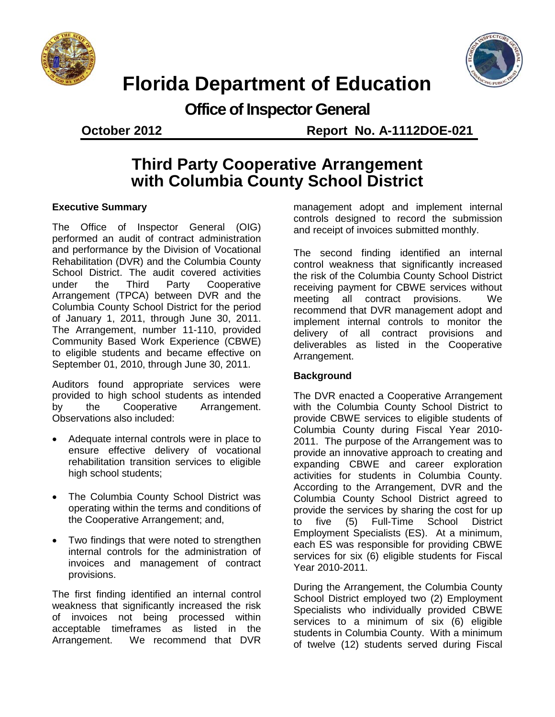



## **Florida Department of Education**

**Office of Inspector General**

**October 2012 Report No. A-1112DOE-021**

### **Third Party Cooperative Arrangement with Columbia County School District**

### **Executive Summary**

The Office of Inspector General (OIG) performed an audit of contract administration and performance by the Division of Vocational Rehabilitation (DVR) and the Columbia County School District. The audit covered activities under the Third Party Cooperative Arrangement (TPCA) between DVR and the Columbia County School District for the period of January 1, 2011, through June 30, 2011. The Arrangement, number 11-110, provided Community Based Work Experience (CBWE) to eligible students and became effective on September 01, 2010, through June 30, 2011.

Auditors found appropriate services were provided to high school students as intended by the Cooperative Arrangement. Observations also included:

- Adequate internal controls were in place to ensure effective delivery of vocational rehabilitation transition services to eligible high school students;
- The Columbia County School District was operating within the terms and conditions of the Cooperative Arrangement; and,
- Two findings that were noted to strengthen internal controls for the administration of invoices and management of contract provisions.

The first finding identified an internal control weakness that significantly increased the risk of invoices not being processed within acceptable timeframes as listed in the Arrangement. We recommend that DVR

management adopt and implement internal controls designed to record the submission and receipt of invoices submitted monthly.

The second finding identified an internal control weakness that significantly increased the risk of the Columbia County School District receiving payment for CBWE services without meeting all contract provisions. We recommend that DVR management adopt and implement internal controls to monitor the delivery of all contract provisions and deliverables as listed in the Cooperative Arrangement.

#### **Background**

The DVR enacted a Cooperative Arrangement with the Columbia County School District to provide CBWE services to eligible students of Columbia County during Fiscal Year 2010- 2011. The purpose of the Arrangement was to provide an innovative approach to creating and expanding CBWE and career exploration activities for students in Columbia County. According to the Arrangement, DVR and the Columbia County School District agreed to provide the services by sharing the cost for up to five (5) Full-Time School District Employment Specialists (ES). At a minimum, each ES was responsible for providing CBWE services for six (6) eligible students for Fiscal Year 2010-2011.

During the Arrangement, the Columbia County School District employed two (2) Employment Specialists who individually provided CBWE services to a minimum of six (6) eligible students in Columbia County. With a minimum of twelve (12) students served during Fiscal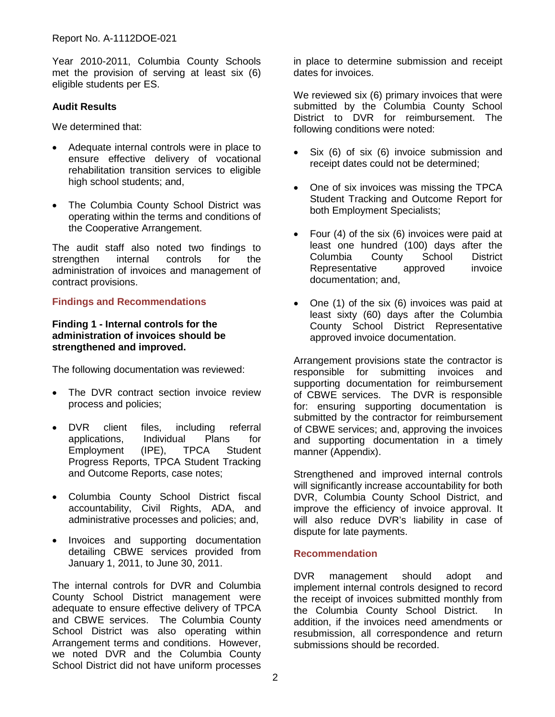Year 2010-2011, Columbia County Schools met the provision of serving at least six (6) eligible students per ES.

#### **Audit Results**

We determined that:

- Adequate internal controls were in place to ensure effective delivery of vocational rehabilitation transition services to eligible high school students; and,
- The Columbia County School District was operating within the terms and conditions of the Cooperative Arrangement.

The audit staff also noted two findings to<br>strengthen internal controls for the strengthen internal controls for the administration of invoices and management of contract provisions.

#### **Findings and Recommendations**

#### **Finding 1 - Internal controls for the administration of invoices should be strengthened and improved.**

The following documentation was reviewed:

- The DVR contract section invoice review process and policies;
- DVR client files, including referral applications, Individual Plans for Employment (IPE), TPCA Student Progress Reports, TPCA Student Tracking and Outcome Reports, case notes;
- Columbia County School District fiscal accountability, Civil Rights, ADA, and administrative processes and policies; and,
- Invoices and supporting documentation detailing CBWE services provided from January 1, 2011, to June 30, 2011.

The internal controls for DVR and Columbia County School District management were adequate to ensure effective delivery of TPCA and CBWE services. The Columbia County School District was also operating within Arrangement terms and conditions. However, we noted DVR and the Columbia County School District did not have uniform processes

in place to determine submission and receipt dates for invoices.

We reviewed six (6) primary invoices that were submitted by the Columbia County School District to DVR for reimbursement. The following conditions were noted:

- Six (6) of six (6) invoice submission and receipt dates could not be determined;
- One of six invoices was missing the TPCA Student Tracking and Outcome Report for both Employment Specialists;
- Four (4) of the six (6) invoices were paid at least one hundred (100) days after the Columbia County School District Representative approved invoice documentation; and,
- One (1) of the six (6) invoices was paid at least sixty (60) days after the Columbia County School District Representative approved invoice documentation.

Arrangement provisions state the contractor is responsible for submitting invoices and supporting documentation for reimbursement of CBWE services. The DVR is responsible for: ensuring supporting documentation is submitted by the contractor for reimbursement of CBWE services; and, approving the invoices and supporting documentation in a timely manner (Appendix).

Strengthened and improved internal controls will significantly increase accountability for both DVR, Columbia County School District, and improve the efficiency of invoice approval. It will also reduce DVR's liability in case of dispute for late payments.

#### **Recommendation**

DVR management should adopt and implement internal controls designed to record the receipt of invoices submitted monthly from the Columbia County School District. In addition, if the invoices need amendments or resubmission, all correspondence and return submissions should be recorded.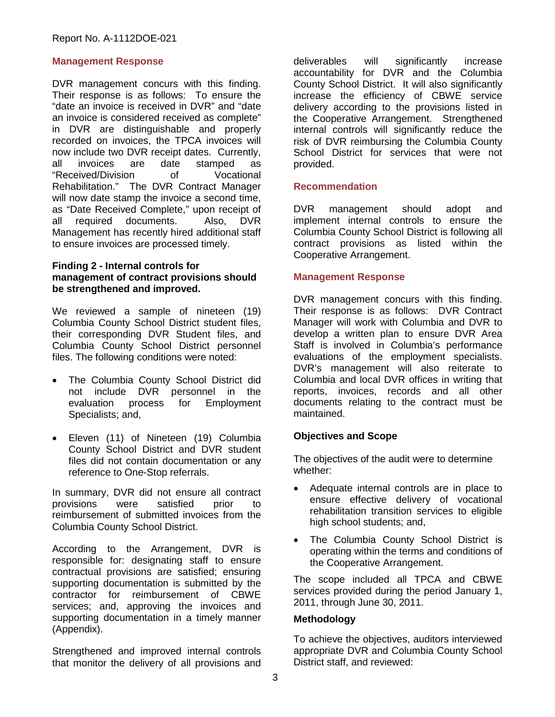#### **Management Response**

DVR management concurs with this finding. Their response is as follows: To ensure the "date an invoice is received in DVR" and "date an invoice is considered received as complete" in DVR are distinguishable and properly recorded on invoices, the TPCA invoices will now include two DVR receipt dates. Currently,<br>all invoices are date stamped as stamped as "Received/Division of Vocational Rehabilitation." The DVR Contract Manager will now date stamp the invoice a second time, as "Date Received Complete," upon receipt of all required documents. Also, DVR Management has recently hired additional staff to ensure invoices are processed timely.

#### **Finding 2 - Internal controls for management of contract provisions should be strengthened and improved.**

We reviewed a sample of nineteen (19) Columbia County School District student files, their corresponding DVR Student files, and Columbia County School District personnel files. The following conditions were noted:

- The Columbia County School District did not include DVR personnel in the evaluation process for Employment Specialists; and,
- Eleven (11) of Nineteen (19) Columbia County School District and DVR student files did not contain documentation or any reference to One-Stop referrals.

In summary, DVR did not ensure all contract provisions were satisfied prior to reimbursement of submitted invoices from the Columbia County School District.

According to the Arrangement, DVR is responsible for: designating staff to ensure contractual provisions are satisfied; ensuring supporting documentation is submitted by the contractor for reimbursement of CBWE services; and, approving the invoices and supporting documentation in a timely manner (Appendix).

Strengthened and improved internal controls that monitor the delivery of all provisions and

deliverables will significantly increase accountability for DVR and the Columbia County School District. It will also significantly increase the efficiency of CBWE service delivery according to the provisions listed in the Cooperative Arrangement. Strengthened internal controls will significantly reduce the risk of DVR reimbursing the Columbia County School District for services that were not provided.

#### **Recommendation**

DVR management should adopt and implement internal controls to ensure the Columbia County School District is following all contract provisions as listed within the Cooperative Arrangement.

#### **Management Response**

DVR management concurs with this finding. Their response is as follows: DVR Contract Manager will work with Columbia and DVR to develop a written plan to ensure DVR Area Staff is involved in Columbia's performance evaluations of the employment specialists. DVR's management will also reiterate to Columbia and local DVR offices in writing that reports, invoices, records and all other documents relating to the contract must be maintained.

#### **Objectives and Scope**

The objectives of the audit were to determine whether:

- Adequate internal controls are in place to ensure effective delivery of vocational rehabilitation transition services to eligible high school students; and,
- The Columbia County School District is operating within the terms and conditions of the Cooperative Arrangement.

The scope included all TPCA and CBWE services provided during the period January 1, 2011, through June 30, 2011.

#### **Methodology**

To achieve the objectives, auditors interviewed appropriate DVR and Columbia County School District staff, and reviewed: